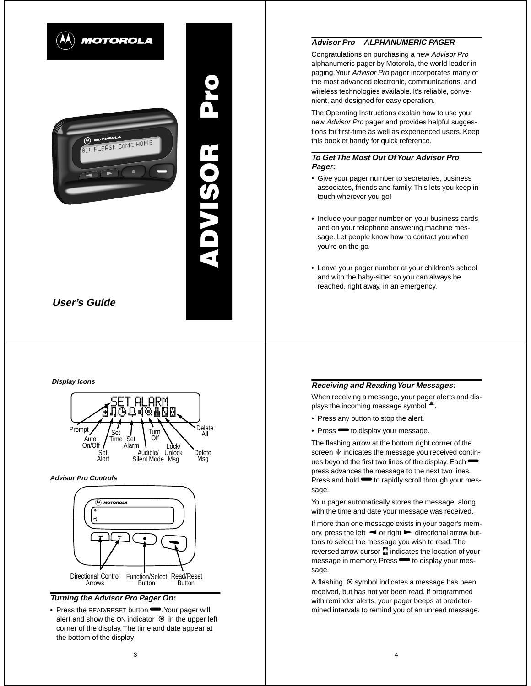

# **ADVISOR Pro** ADVISOR®

# **Display Icons**



# **Advisor Pro Controls**



# **Turning the Advisor Pro Pager On:**

• Press the READ/RESET button • Your pager will alert and show the ON indicator  $\odot$  in the upper left corner of the display. The time and date appear at the bottom of the display

# **Advisor Pro ALPHANUMERIC PAGER**

Congratulations on purchasing a new Advisor Pro alphanumeric pager by Motorola, the world leader in paging. Your Advisor Pro pager incorporates many of the most advanced electronic, communications, and wireless technologies available. It's reliable, convenient, and designed for easy operation.

The Operating Instructions explain how to use your new Advisor Pro pager and provides helpful suggestions for first-time as well as experienced users. Keep this booklet handy for quick reference.

## **To Get The Most Out Of Your Advisor Pro Pager:**

- Give your pager number to secretaries, business associates, friends and family. This lets you keep in touch wherever you go!
- Include your pager number on your business cards and on your telephone answering machine message. Let people know how to contact you when you're on the go.
- Leave your pager number at your children's school and with the baby-sitter so you can always be reached, right away, in an emergency.

# **Receiving and Reading Your Messages:**

When receiving a message, your pager alerts and displays the incoming message symbol  $\triangleq$ .

- Press any button to stop the alert.
- Press  $\blacktriangleright$  to display your message.

The flashing arrow at the bottom right corner of the screen  $\ddot{\bullet}$  indicates the message you received continues beyond the first two lines of the display. Each press advances the message to the next two lines. .<br>Press and hold **••** to rapidly scroll through your message.

Your pager automatically stores the message, along with the time and date your message was received.

If more than one message exists in your pager's memory, press the left  $\blacktriangleleft$  or right  $\blacktriangleright$  directional arrow buttons to select the message you wish to read. The reversed arrow cursor  $\mathbf{F}_{\mathbf{H}}$  indicates the location of your message in memory. Press **·** to display your message.

A flashing  $\odot$  symbol indicates a message has been received, but has not yet been read. If programmed with reminder alerts, your pager beeps at predetermined intervals to remind you of an unread message.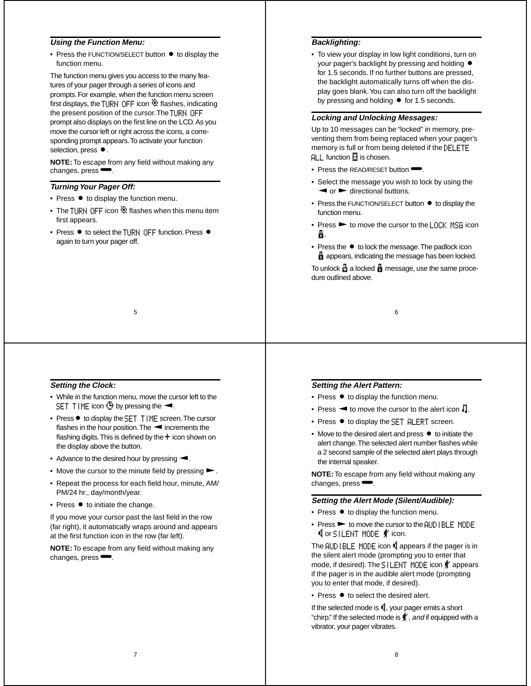# **Using the Function Menu:**

• Press the FUNCTION/SELECT button  $\bullet$  to display the function menu.

The function menu gives you access to the many features of your pager through a series of icons and prompts. For example, when the function menu screen first displays, the TURN OFF icon  $\mathbf{\ddot{o}}$  flashes, indicating the present position of the cursor. The TURN OFF prompt also displays on the first line on the LCD. As you move the cursor left or right across the icons, a corresponding prompt appears. To activate your function selection, press  $\bullet$ .

**NOTE:** To escape from any field without making any changes, press  $\blacksquare$ 

# **Turning Your Pager Off:**

- $\bullet$  Press  $\bullet$  to display the function menu.
- The TURN OFF icon  $\ddot{\mathbf{C}}$  flashes when this menu item first appears.
- $\bullet$  Press  $\bullet$  to select the TURN OFF function. Press  $\bullet$ again to turn your pager off.

## **Backlighting:**

• To view your display in low light conditions, turn on your pager's backlight by pressing and holding  $\bullet$ for 1.5 seconds. If no further buttons are pressed, the backlight automatically turns off when the display goes blank. You can also turn off the backlight by pressing and holding  $\bullet$  for 1.5 seconds.

#### **Locking and Unlocking Messages:**

Up to 10 messages can be "locked" in memory, preventing them from being replaced when your pager's memory is full or from being deleted if the DELETE  $ALL$  function  $R$  is chosen.

- $\bullet$  Press the READ/RESET button  $\bullet$ .
- Select the message you wish to lock by using the  $\blacktriangleleft$  or  $\blacktriangleright$  directional buttons.
- $\bullet$  Press the FUNCTION/SELECT button  $\bullet$  to display the function menu.
- Press  $\blacktriangleright$  to move the cursor to the LOCK MSG icon í.
- Press the  $\bullet$  to lock the message. The padlock icon **if** appears, indicating the message has been locked.

To unlock  $\frac{1}{11}$  a locked  $\frac{1}{11}$  message, use the same procedure outlined above.

6

5

# **Setting the Clock:**

- While in the function menu, move the cursor left to the SET TIME icon  $\ddot{\mathbb{G}}$  by pressing the  $\blacktriangleleft$ .
- Press to display the SET TIME screen. The cursor flashes in the hour position. The  $\blacktriangleleft$  increments the flashing digits. This is defined by the  $+$  icon shown on the display above the button.
- Advance to the desired hour by pressing  $\blacktriangleleft$ .
- Move the cursor to the minute field by pressing  $\blacktriangleright$ .
- Repeat the process for each field hour, minute, AM/ PM/24 hr., day/month/year.
- $\bullet$  Press  $\bullet$  to initiate the change.

If you move your cursor past the last field in the row (far right), it automatically wraps around and appears at the first function icon in the row (far left).

**NOTE:** To escape from any field without making any changes, press $\blacksquare$ .

# **Setting the Alert Pattern:**

- Press  $\bullet$  to display the function menu.
- Press  $\blacktriangleleft$  to move the cursor to the alert icon  $\Box$ .
- Press  $\bullet$  to display the SET ALERT screen.
- $\bullet$  Move to the desired alert and press  $\bullet$  to initiate the alert change. The selected alert number flashes while a 2 second sample of the selected alert plays through the internal speaker.

**NOTE:** To escape from any field without making any changes, press $\blacksquare$ .

#### **Setting the Alert Mode (Silent/Audible):**

- $\bullet$  Press  $\bullet$  to display the function menu.
- $\bullet$  Press  $\blacktriangleright$  to move the cursor to the  $\overline{AUD}$  I BLE MODE **C** or SILENT MODE  $\oint$  icon.

The AUDIBLE MODE icon Lappears if the pager is in the silent alert mode (prompting you to enter that mode, if desired). The SILENT MODE icon  $\frac{d}{d}$  appears if the pager is in the audible alert mode (prompting you to enter that mode, if desired).

 $\bullet$  Press  $\bullet$  to select the desired alert.

If the selected mode is  $\mathbf{E}$ , your pager emits a short "chirp." If the selected mode is  $\sharp$ , and if equipped with a vibrator, your pager vibrates.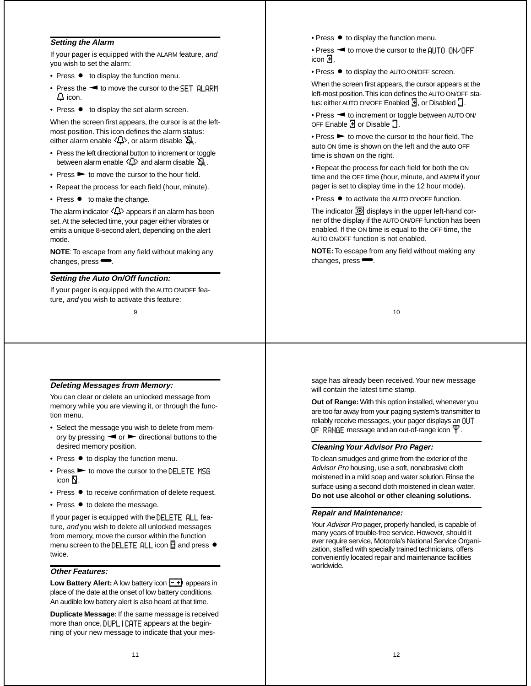#### **Setting the Alarm**

If your pager is equipped with the ALARM feature, and you wish to set the alarm:

- Press to display the function menu.
- Press the  $\blacktriangleleft$  to move the cursor to the SET ALARM Ö icon.
- $\bullet$  Press  $\bullet$  to display the set alarm screen.

When the screen first appears, the cursor is at the leftmost position. This icon defines the alarm status: either alarm enable  $\langle \mathbf{L} \rangle$ , or alarm disable  $\mathbf{\Sigma}$ .

- Press the left directional button to increment or toggle between alarm enable  $\langle \mathbb{D} \rangle$  and alarm disable  $\mathbb{Z}$ .
- $\bullet$  Press  $\blacktriangleright$  to move the cursor to the hour field.
- Repeat the process for each field (hour, minute).
- Press  $\bullet$  to make the change.

The alarm indicator  $\langle \mathbb{D} \rangle$  appears if an alarm has been set. At the selected time, your pager either vibrates or emits a unique 8-second alert, depending on the alert mode.

**NOTE**: To escape from any field without making any changes, press $\blacksquare$ .

#### **Setting the Auto On/Off function:**

If your pager is equipped with the AUTO ON/OFF feature, and you wish to activate this feature:

9

# **Deleting Messages from Memory:**

You can clear or delete an unlocked message from memory while you are viewing it, or through the function menu.

- Select the message you wish to delete from memory by pressing  $\blacktriangleleft$  or  $\blacktriangleright$  directional buttons to the desired memory position.
- $\bullet$  Press  $\bullet$  to display the function menu.
- $\bullet$  Press  $\blacktriangleright$  to move the cursor to the DELETE MSG icon  $\mathbb{Z}$ .
- Press  $\bullet$  to receive confirmation of delete request.
- Press  $\bullet$  to delete the message.

If your pager is equipped with the DELETE ALL feature, and you wish to delete all unlocked messages from memory, move the cursor within the function menu screen to the DELETE ALL icon  $\mathbb{N}$  and press  $\bullet$ twice.

## **Other Features:**

**Low Battery Alert:** A low battery icon  $\boxed{-1}$  appears in place of the date at the onset of low battery conditions. An audible low battery alert is also heard at that time.

**Duplicate Message:** If the same message is received more than once, DUPLICATE appears at the beginning of your new message to indicate that your mes• Press  $\bullet$  to display the function menu.

• Press < to move the cursor to the AUTO ON/OFF icon  $\mathbf{H}$ .

• Press  $\bullet$  to display the AUTO ON/OFF screen.

When the screen first appears, the cursor appears at the left-most position. This icon defines the AUTO ON/OFF status: either AUTO ON/OFF Enabled  $\overline{B}$ , or Disabled  $\overline{B}$ .

• Press < to increment or toggle between AUTO ON/ OFF Enable  $\exists$  or Disable  $\exists$ .

 $\bullet$  Press  $\blacktriangleright$  to move the cursor to the hour field. The auto ON time is shown on the left and the auto OFF time is shown on the right.

• Repeat the process for each field for both the ON time and the OFF time (hour, minute, and AM/PM if your pager is set to display time in the 12 hour mode).

• Press  $\bullet$  to activate the AUTO ON/OFF function.

The indicator  $\overline{[0]}$  displays in the upper left-hand corner of the display if the AUTO ON/OFF function has been enabled. If the ON time is equal to the OFF time, the AUTO ON/OFF function is not enabled.

**NOTE:** To escape from any field without making any changes, press $\blacksquare$ .

10

sage has already been received. Your new message will contain the latest time stamp.

**Out of Range:** With this option installed, whenever you are too far away from your paging system's transmitter to reliably receive messages, your pager displays an OUT OF RANGE message and an out-of-range icon  $\mathbf{\Psi}.$ 

#### **Cleaning Your Advisor Pro Pager:**

To clean smudges and grime from the exterior of the Advisor Pro housing, use a soft, nonabrasive cloth moistened in a mild soap and water solution. Rinse the surface using a second cloth moistened in clean water. **Do not use alcohol or other cleaning solutions.**

#### **Repair and Maintenance:**

Your Advisor Pro pager, properly handled, is capable of many years of trouble-free service. However, should it ever require service, Motorola's National Service Organization, staffed with specially trained technicians, offers conveniently located repair and maintenance facilities worldwide.